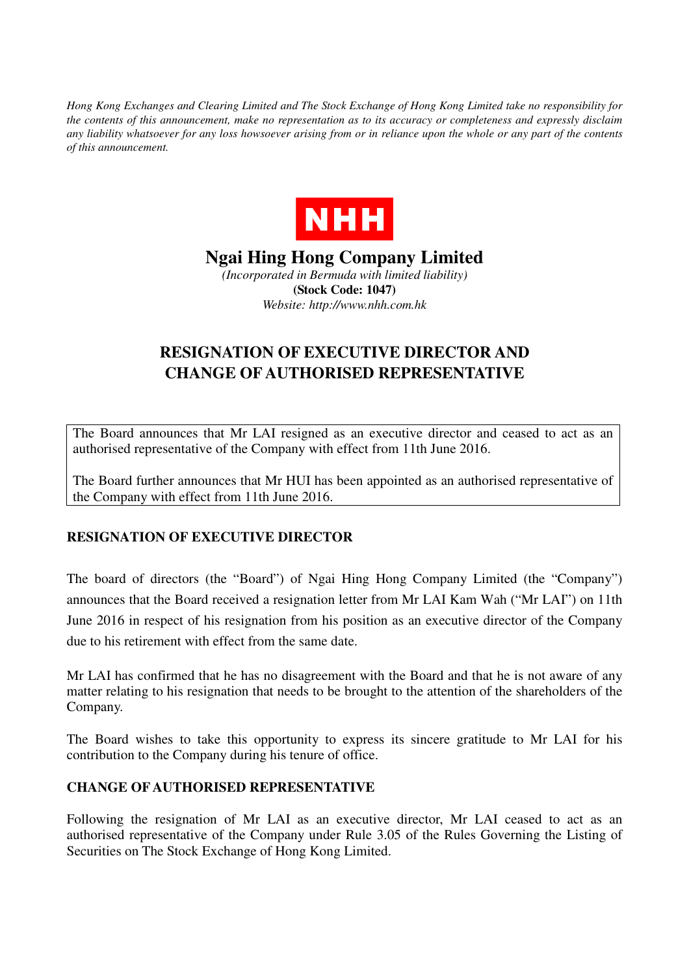*Hong Kong Exchanges and Clearing Limited and The Stock Exchange of Hong Kong Limited take no responsibility for the contents of this announcement, make no representation as to its accuracy or completeness and expressly disclaim any liability whatsoever for any loss howsoever arising from or in reliance upon the whole or any part of the contents of this announcement.* 



**Ngai Hing Hong Company Limited**  *(Incorporated in Bermuda with limited liability)*  **(Stock Code: 1047)**  *Website: http://www.nhh.com.hk* 

## **RESIGNATION OF EXECUTIVE DIRECTOR AND CHANGE OF AUTHORISED REPRESENTATIVE**

The Board announces that Mr LAI resigned as an executive director and ceased to act as an authorised representative of the Company with effect from 11th June 2016.

The Board further announces that Mr HUI has been appointed as an authorised representative of the Company with effect from 11th June 2016.

## **RESIGNATION OF EXECUTIVE DIRECTOR**

The board of directors (the "Board") of Ngai Hing Hong Company Limited (the "Company") announces that the Board received a resignation letter from Mr LAI Kam Wah ("Mr LAI") on 11th June 2016 in respect of his resignation from his position as an executive director of the Company due to his retirement with effect from the same date.

Mr LAI has confirmed that he has no disagreement with the Board and that he is not aware of any matter relating to his resignation that needs to be brought to the attention of the shareholders of the Company.

The Board wishes to take this opportunity to express its sincere gratitude to Mr LAI for his contribution to the Company during his tenure of office.

## **CHANGE OF AUTHORISED REPRESENTATIVE**

Following the resignation of Mr LAI as an executive director, Mr LAI ceased to act as an authorised representative of the Company under Rule 3.05 of the Rules Governing the Listing of Securities on The Stock Exchange of Hong Kong Limited.